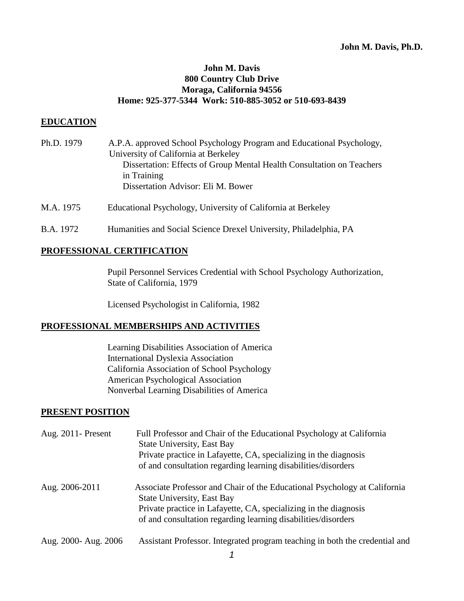### **John M. Davis 800 Country Club Drive Moraga, California 94556 Home: 925-377-5344 Work: 510-885-3052 or 510-693-8439**

#### **EDUCATION**

- Ph.D. 1979 A.P.A. approved School Psychology Program and Educational Psychology, University of California at Berkeley Dissertation: Effects of Group Mental Health Consultation on Teachers in Training Dissertation Advisor: Eli M. Bower
- M.A. 1975 Educational Psychology, University of California at Berkeley
- B.A. 1972 Humanities and Social Science Drexel University, Philadelphia, PA

#### **PROFESSIONAL CERTIFICATION**

Pupil Personnel Services Credential with School Psychology Authorization, State of California, 1979

Licensed Psychologist in California, 1982

#### **PROFESSIONAL MEMBERSHIPS AND ACTIVITIES**

Learning Disabilities Association of America International Dyslexia Association California Association of School Psychology American Psychological Association Nonverbal Learning Disabilities of America

#### **PRESENT POSITION**

| Aug. $2011$ -Present | Full Professor and Chair of the Educational Psychology at California<br><b>State University, East Bay</b><br>Private practice in Lafayette, CA, specializing in the diagnosis<br>of and consultation regarding learning disabilities/disorders      |
|----------------------|-----------------------------------------------------------------------------------------------------------------------------------------------------------------------------------------------------------------------------------------------------|
| Aug. 2006-2011       | Associate Professor and Chair of the Educational Psychology at California<br><b>State University, East Bay</b><br>Private practice in Lafayette, CA, specializing in the diagnosis<br>of and consultation regarding learning disabilities/disorders |
| Aug. 2000- Aug. 2006 | Assistant Professor. Integrated program teaching in both the credential and                                                                                                                                                                         |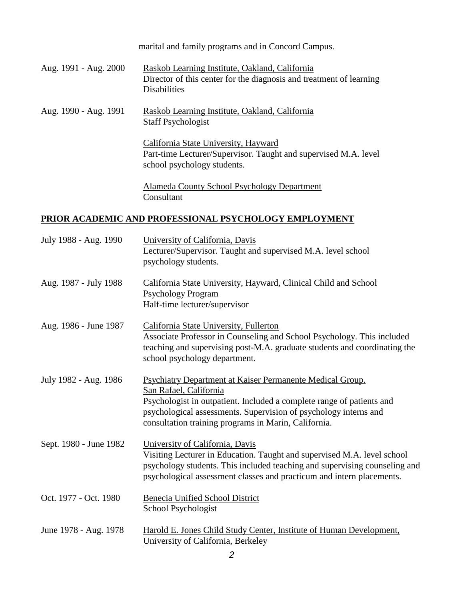marital and family programs and in Concord Campus. Aug. 1991 - Aug. 2000 Raskob Learning Institute, Oakland, California Director of this center for the diagnosis and treatment of learning Disabilities Aug. 1990 - Aug. 1991 Raskob Learning Institute, Oakland, California Staff Psychologist California State University, Hayward Part-time Lecturer/Supervisor. Taught and supervised M.A. level school psychology students. Alameda County School Psychology Department Consultant

# **PRIOR ACADEMIC AND PROFESSIONAL PSYCHOLOGY EMPLOYMENT**

| July 1988 - Aug. 1990  | University of California, Davis<br>Lecturer/Supervisor. Taught and supervised M.A. level school<br>psychology students.                                                                                                                                                                  |
|------------------------|------------------------------------------------------------------------------------------------------------------------------------------------------------------------------------------------------------------------------------------------------------------------------------------|
| Aug. 1987 - July 1988  | California State University, Hayward, Clinical Child and School<br><b>Psychology Program</b><br>Half-time lecturer/supervisor                                                                                                                                                            |
| Aug. 1986 - June 1987  | California State University, Fullerton<br>Associate Professor in Counseling and School Psychology. This included<br>teaching and supervising post-M.A. graduate students and coordinating the<br>school psychology department.                                                           |
| July 1982 - Aug. 1986  | Psychiatry Department at Kaiser Permanente Medical Group.<br>San Rafael, California<br>Psychologist in outpatient. Included a complete range of patients and<br>psychological assessments. Supervision of psychology interns and<br>consultation training programs in Marin, California. |
| Sept. 1980 - June 1982 | University of California, Davis<br>Visiting Lecturer in Education. Taught and supervised M.A. level school<br>psychology students. This included teaching and supervising counseling and<br>psychological assessment classes and practicum and intern placements.                        |
| Oct. 1977 - Oct. 1980  | Benecia Unified School District<br>School Psychologist                                                                                                                                                                                                                                   |
| June 1978 - Aug. 1978  | Harold E. Jones Child Study Center, Institute of Human Development,<br>University of California, Berkeley                                                                                                                                                                                |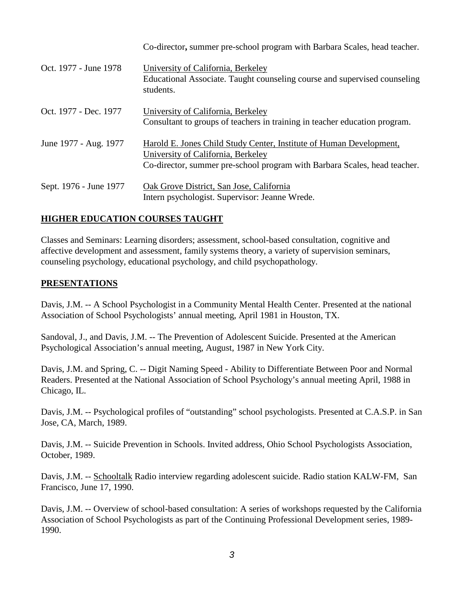|                        | Co-director, summer pre-school program with Barbara Scales, head teacher.                                                                                                              |
|------------------------|----------------------------------------------------------------------------------------------------------------------------------------------------------------------------------------|
| Oct. 1977 - June 1978  | University of California, Berkeley<br>Educational Associate. Taught counseling course and supervised counseling<br>students.                                                           |
| Oct. 1977 - Dec. 1977  | University of California, Berkeley<br>Consultant to groups of teachers in training in teacher education program.                                                                       |
| June 1977 - Aug. 1977  | Harold E. Jones Child Study Center, Institute of Human Development,<br>University of California, Berkeley<br>Co-director, summer pre-school program with Barbara Scales, head teacher. |
| Sept. 1976 - June 1977 | Oak Grove District, San Jose, California<br>Intern psychologist. Supervisor: Jeanne Wrede.                                                                                             |

## **HIGHER EDUCATION COURSES TAUGHT**

Classes and Seminars: Learning disorders; assessment, school-based consultation, cognitive and affective development and assessment, family systems theory, a variety of supervision seminars, counseling psychology, educational psychology, and child psychopathology.

### **PRESENTATIONS**

Davis, J.M. -- A School Psychologist in a Community Mental Health Center. Presented at the national Association of School Psychologists' annual meeting, April 1981 in Houston, TX.

Sandoval, J., and Davis, J.M. -- The Prevention of Adolescent Suicide. Presented at the American Psychological Association's annual meeting, August, 1987 in New York City.

Davis, J.M. and Spring, C. -- Digit Naming Speed - Ability to Differentiate Between Poor and Normal Readers. Presented at the National Association of School Psychology's annual meeting April, 1988 in Chicago, IL.

Davis, J.M. -- Psychological profiles of "outstanding" school psychologists. Presented at C.A.S.P. in San Jose, CA, March, 1989.

Davis, J.M. -- Suicide Prevention in Schools. Invited address, Ohio School Psychologists Association, October, 1989.

Davis, J.M. -- Schooltalk Radio interview regarding adolescent suicide. Radio station KALW-FM, San Francisco, June 17, 1990.

Davis, J.M. -- Overview of school-based consultation: A series of workshops requested by the California Association of School Psychologists as part of the Continuing Professional Development series, 1989- 1990.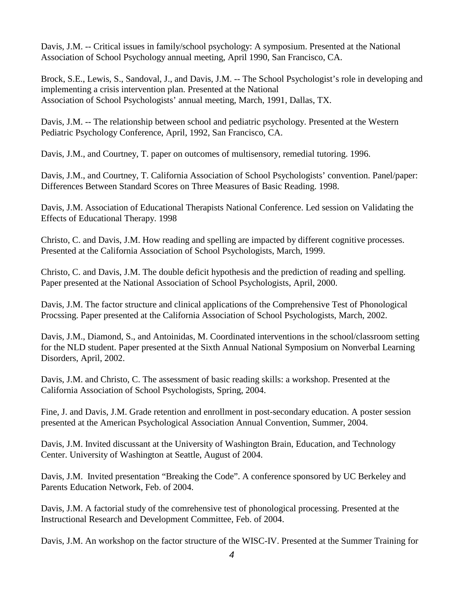Davis, J.M. -- Critical issues in family/school psychology: A symposium. Presented at the National Association of School Psychology annual meeting, April 1990, San Francisco, CA.

Brock, S.E., Lewis, S., Sandoval, J., and Davis, J.M. -- The School Psychologist's role in developing and implementing a crisis intervention plan. Presented at the National Association of School Psychologists' annual meeting, March, 1991, Dallas, TX.

Davis, J.M. -- The relationship between school and pediatric psychology. Presented at the Western Pediatric Psychology Conference, April, 1992, San Francisco, CA.

Davis, J.M., and Courtney, T. paper on outcomes of multisensory, remedial tutoring. 1996.

Davis, J.M., and Courtney, T. California Association of School Psychologists' convention. Panel/paper: Differences Between Standard Scores on Three Measures of Basic Reading. 1998.

Davis, J.M. Association of Educational Therapists National Conference. Led session on Validating the Effects of Educational Therapy. 1998

Christo, C. and Davis, J.M. How reading and spelling are impacted by different cognitive processes. Presented at the California Association of School Psychologists, March, 1999.

Christo, C. and Davis, J.M. The double deficit hypothesis and the prediction of reading and spelling. Paper presented at the National Association of School Psychologists, April, 2000.

Davis, J.M. The factor structure and clinical applications of the Comprehensive Test of Phonological Procssing. Paper presented at the California Association of School Psychologists, March, 2002.

Davis, J.M., Diamond, S., and Antoinidas, M. Coordinated interventions in the school/classroom setting for the NLD student. Paper presented at the Sixth Annual National Symposium on Nonverbal Learning Disorders, April, 2002.

Davis, J.M. and Christo, C. The assessment of basic reading skills: a workshop. Presented at the California Association of School Psychologists, Spring, 2004.

Fine, J. and Davis, J.M. Grade retention and enrollment in post-secondary education. A poster session presented at the American Psychological Association Annual Convention, Summer, 2004.

Davis, J.M. Invited discussant at the University of Washington Brain, Education, and Technology Center. University of Washington at Seattle, August of 2004.

Davis, J.M. Invited presentation "Breaking the Code". A conference sponsored by UC Berkeley and Parents Education Network, Feb. of 2004.

Davis, J.M. A factorial study of the comrehensive test of phonological processing. Presented at the Instructional Research and Development Committee, Feb. of 2004.

Davis, J.M. An workshop on the factor structure of the WISC-IV. Presented at the Summer Training for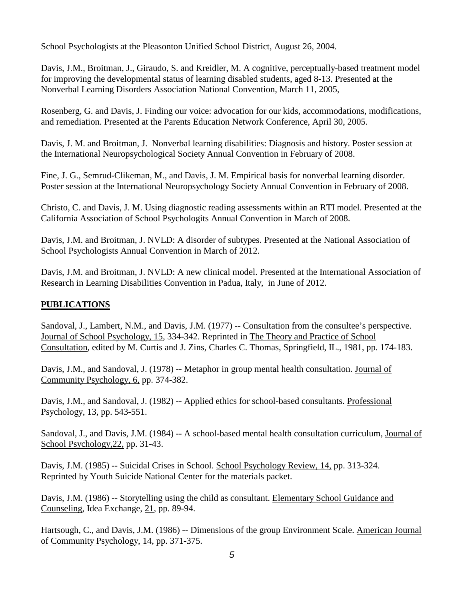School Psychologists at the Pleasonton Unified School District, August 26, 2004.

Davis, J.M., Broitman, J., Giraudo, S. and Kreidler, M. A cognitive, perceptually-based treatment model for improving the developmental status of learning disabled students, aged 8-13. Presented at the Nonverbal Learning Disorders Association National Convention, March 11, 2005,

Rosenberg, G. and Davis, J. Finding our voice: advocation for our kids, accommodations, modifications, and remediation. Presented at the Parents Education Network Conference, April 30, 2005.

Davis, J. M. and Broitman, J. Nonverbal learning disabilities: Diagnosis and history. Poster session at the International Neuropsychological Society Annual Convention in February of 2008.

Fine, J. G., Semrud-Clikeman, M., and Davis, J. M. Empirical basis for nonverbal learning disorder. Poster session at the International Neuropsychology Society Annual Convention in February of 2008.

Christo, C. and Davis, J. M. Using diagnostic reading assessments within an RTI model. Presented at the California Association of School Psychologits Annual Convention in March of 2008.

Davis, J.M. and Broitman, J. NVLD: A disorder of subtypes. Presented at the National Association of School Psychologists Annual Convention in March of 2012.

Davis, J.M. and Broitman, J. NVLD: A new clinical model. Presented at the International Association of Research in Learning Disabilities Convention in Padua, Italy, in June of 2012.

# **PUBLICATIONS**

Sandoval, J., Lambert, N.M., and Davis, J.M. (1977) -- Consultation from the consultee's perspective. Journal of School Psychology, 15, 334-342. Reprinted in The Theory and Practice of School Consultation, edited by M. Curtis and J. Zins, Charles C. Thomas, Springfield, IL., 1981, pp. 174-183.

Davis, J.M., and Sandoval, J. (1978) -- Metaphor in group mental health consultation. Journal of Community Psychology, 6, pp. 374-382.

Davis, J.M., and Sandoval, J. (1982) -- Applied ethics for school-based consultants. Professional Psychology, 13, pp. 543-551.

Sandoval, J., and Davis, J.M. (1984) -- A school-based mental health consultation curriculum, Journal of School Psychology,22, pp. 31-43.

Davis, J.M. (1985) -- Suicidal Crises in School. School Psychology Review, 14, pp. 313-324. Reprinted by Youth Suicide National Center for the materials packet.

Davis, J.M. (1986) -- Storytelling using the child as consultant. Elementary School Guidance and Counseling, Idea Exchange, 21, pp. 89-94.

Hartsough, C., and Davis, J.M. (1986) -- Dimensions of the group Environment Scale. American Journal of Community Psychology, 14, pp. 371-375.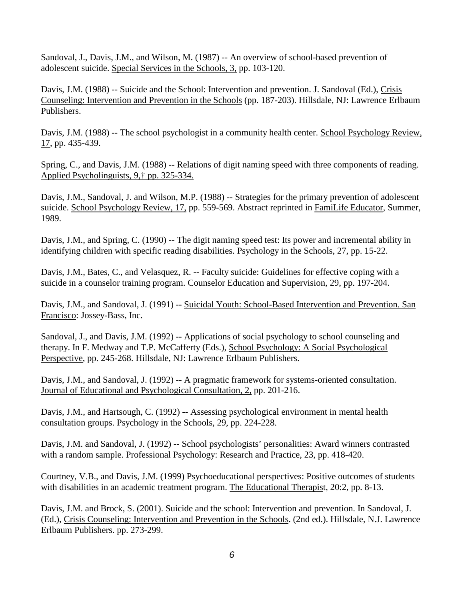Sandoval, J., Davis, J.M., and Wilson, M. (1987) -- An overview of school-based prevention of adolescent suicide. Special Services in the Schools, 3, pp. 103-120.

Davis, J.M. (1988) -- Suicide and the School: Intervention and prevention. J. Sandoval (Ed.), Crisis Counseling: Intervention and Prevention in the Schools (pp. 187-203). Hillsdale, NJ: Lawrence Erlbaum Publishers.

Davis, J.M. (1988) -- The school psychologist in a community health center. School Psychology Review, 17, pp. 435-439.

Spring, C., and Davis, J.M. (1988) -- Relations of digit naming speed with three components of reading. Applied Psycholinguists, 9,† pp. 325-334.

Davis, J.M., Sandoval, J. and Wilson, M.P. (1988) -- Strategies for the primary prevention of adolescent suicide. School Psychology Review, 17, pp. 559-569. Abstract reprinted in FamiLife Educator, Summer, 1989.

Davis, J.M., and Spring, C. (1990) -- The digit naming speed test: Its power and incremental ability in identifying children with specific reading disabilities. Psychology in the Schools, 27, pp. 15-22.

Davis, J.M., Bates, C., and Velasquez, R. -- Faculty suicide: Guidelines for effective coping with a suicide in a counselor training program. Counselor Education and Supervision, 29, pp. 197-204.

Davis, J.M., and Sandoval, J. (1991) -- Suicidal Youth: School-Based Intervention and Prevention. San Francisco: Jossey-Bass, Inc.

Sandoval, J., and Davis, J.M. (1992) -- Applications of social psychology to school counseling and therapy. In F. Medway and T.P. McCafferty (Eds.), School Psychology: A Social Psychological Perspective, pp. 245-268. Hillsdale, NJ: Lawrence Erlbaum Publishers.

Davis, J.M., and Sandoval, J. (1992) -- A pragmatic framework for systems-oriented consultation. Journal of Educational and Psychological Consultation, 2, pp. 201-216.

Davis, J.M., and Hartsough, C. (1992) -- Assessing psychological environment in mental health consultation groups. Psychology in the Schools, 29, pp. 224-228.

Davis, J.M. and Sandoval, J. (1992) -- School psychologists' personalities: Award winners contrasted with a random sample. Professional Psychology: Research and Practice, 23, pp. 418-420.

Courtney, V.B., and Davis, J.M. (1999) Psychoeducational perspectives: Positive outcomes of students with disabilities in an academic treatment program. The Educational Therapist, 20:2, pp. 8-13.

Davis, J.M. and Brock, S. (2001). Suicide and the school: Intervention and prevention. In Sandoval, J. (Ed.), Crisis Counseling: Intervention and Prevention in the Schools. (2nd ed.). Hillsdale, N.J. Lawrence Erlbaum Publishers. pp. 273-299.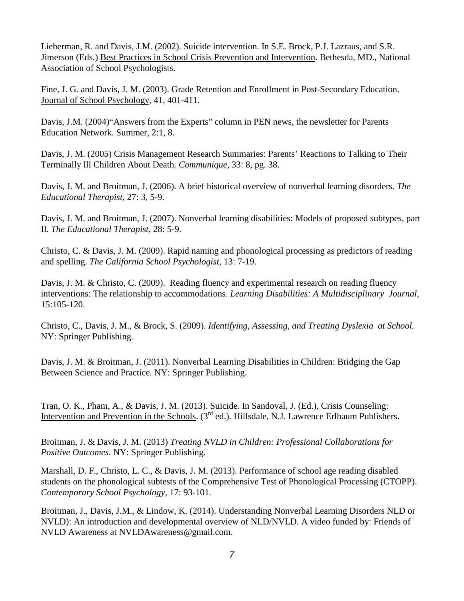Lieberman, R. and Davis, J.M. (2002). Suicide intervention. In S.E. Brock, P.J. Lazraus, and S.R. Jimerson (Eds.) Best Practices in School Crisis Prevention and Intervention. Bethesda, MD., National Association of School Psychologists.

Fine, J. G. and Davis, J. M. (2003). Grade Retention and Enrollment in Post-Secondary Education. Journal of School Psychology, 41, 401-411.

Davis, J.M. (2004) "Answers from the Experts" column in PEN news, the newsletter for Parents Education Network. Summer, 2:1, 8.

Davis, J. M. (2005) Crisis Management Research Summaries: Parents' Reactions to Talking to Their Terminally Ill Children About Death*. Communique*, 33: 8, pg. 38.

Davis, J. M. and Broitman, J. (2006). A brief historical overview of nonverbal learning disorders. *The Educational Therapist*, 27: 3, 5-9.

Davis, J. M. and Broitman, J. (2007). Nonverbal learning disabilities: Models of proposed subtypes, part II. *The Educational Therapist*, 28: 5-9.

Christo, C. & Davis, J. M. (2009). Rapid naming and phonological processing as predictors of reading and spelling. *The California School Psychologist*, 13: 7-19.

Davis, J. M. & Christo, C. (2009). Reading fluency and experimental research on reading fluency interventions: The relationship to accommodations. *Learning Disabilities: A Multidisciplinary Journal,* 15:105-120.

Christo, C., Davis, J. M., & Brock, S. (2009). *Identifying, Assessing, and Treating Dyslexia at School.* NY: Springer Publishing.

Davis, J. M. & Broitman, J. (2011). Nonverbal Learning Disabilities in Children: Bridging the Gap Between Science and Practice*.* NY: Springer Publishing.

Tran, O. K., Pham, A., & Davis, J. M. (2013). Suicide. In Sandoval, J. (Ed.), Crisis Counseling: Intervention and Prevention in the Schools. (3<sup>rd</sup> ed.). Hillsdale, N.J. Lawrence Erlbaum Publishers.

Broitman, J. & Davis, J. M. (2013) *Treating NVLD in Children: Professional Collaborations for Positive Outcomes*. NY: Springer Publishing.

Marshall, D. F., Christo, L. C., & Davis, J. M. (2013). Performance of school age reading disabled students on the phonological subtests of the Comprehensive Test of Phonological Processing (CTOPP). *Contemporary School Psychology,* 17: 93-101.

Broitman, J., Davis, J.M., & Lindow, K. (2014). Understanding Nonverbal Learning Disorders NLD or NVLD): An introduction and developmental overview of NLD/NVLD. A video funded by: Friends of NVLD Awareness at NVLDAwareness@gmail.com.